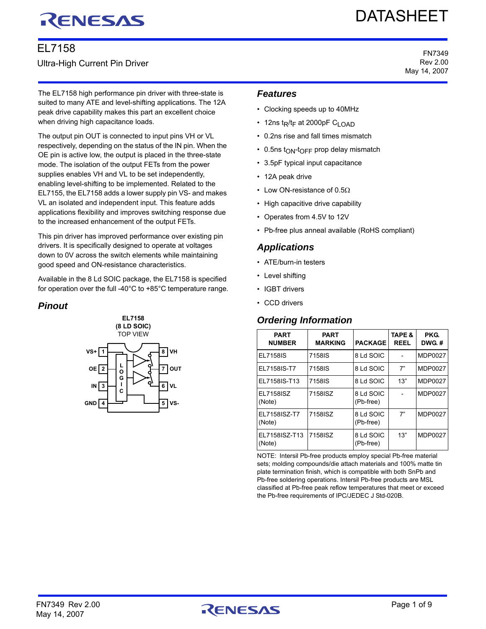# RENESAS

# EL7158 Ultra-High Current Pin Driver

# DATASHEET

FN7349 Rev 2.00 May 14, 2007

The EL7158 high performance pin driver with three-state is suited to many ATE and level-shifting applications. The 12A peak drive capability makes this part an excellent choice when driving high capacitance loads.

The output pin OUT is connected to input pins VH or VL respectively, depending on the status of the IN pin. When the OE pin is active low, the output is placed in the three-state mode. The isolation of the output FETs from the power supplies enables VH and VL to be set independently, enabling level-shifting to be implemented. Related to the EL7155, the EL7158 adds a lower supply pin VS- and makes VL an isolated and independent input. This feature adds applications flexibility and improves switching response due to the increased enhancement of the output FETs.

This pin driver has improved performance over existing pin drivers. It is specifically designed to operate at voltages down to 0V across the switch elements while maintaining good speed and ON-resistance characteristics.

Available in the 8 Ld SOIC package, the EL7158 is specified for operation over the full -40°C to +85°C temperature range.

# *Pinout*



## *Features*

- Clocking speeds up to 40MHz
- 12ns t<sub>R</sub>/t<sub>F</sub> at 2000pF C<sub>LOAD</sub>
- 0.2ns rise and fall times mismatch
- $\cdot$  0.5ns t<sub>ON</sub>-t<sub>OFF</sub> prop delay mismatch
- 3.5pF typical input capacitance
- 12A peak drive
- Low ON-resistance of  $0.5\Omega$
- High capacitive drive capability
- Operates from 4.5V to 12V
- Pb-free plus anneal available (RoHS compliant)

## *Applications*

- ATE/burn-in testers
- Level shifting
- IGBT drivers
- CCD drivers

# *Ordering Information*

| <b>PART</b><br><b>NUMBER</b> | <b>PART</b><br><b>MARKING</b> | <b>PACKAGE</b>         | <b>TAPE &amp;</b><br><b>REEL</b> | <b>PKG.</b><br>DWG.# |
|------------------------------|-------------------------------|------------------------|----------------------------------|----------------------|
| <b>EL7158IS</b>              | 7158IS                        | 8 Ld SOIC              |                                  | MDP0027              |
| EL7158IS-T7                  | 7158IS                        | 8 Ld SOIC              | 7"                               | MDP0027              |
| EL7158IS-T13                 | 7158IS                        | 8 Ld SOIC              | 13"                              | MDP0027              |
| EL7158ISZ<br>(Note)          | 7158ISZ                       | 8 Ld SOIC<br>(Pb-free) |                                  | MDP0027              |
| EL7158ISZ-T7<br>(Note)       | 7158ISZ                       | 8 Ld SOIC<br>(Pb-free) | 7"                               | MDP0027              |
| EL7158ISZ-T13<br>(Note)      | 7158ISZ                       | 8 Ld SOIC<br>(Pb-free) | 13"                              | MDP0027              |

NOTE: Intersil Pb-free products employ special Pb-free material sets; molding compounds/die attach materials and 100% matte tin plate termination finish, which is compatible with both SnPb and Pb-free soldering operations. Intersil Pb-free products are MSL classified at Pb-free peak reflow temperatures that meet or exceed the Pb-free requirements of IPC/JEDEC J Std-020B.

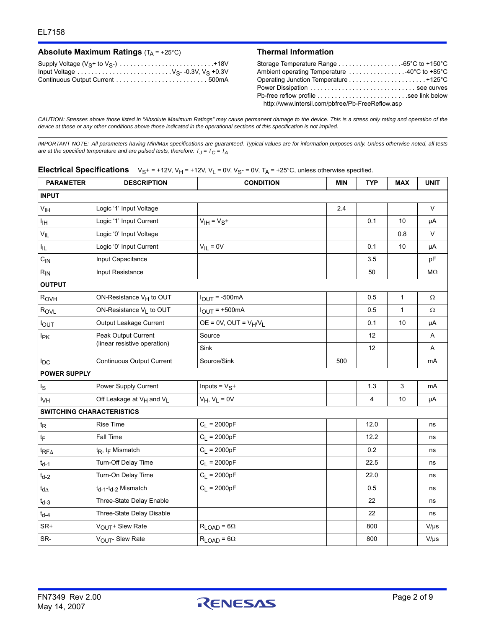### **Absolute Maximum Ratings**  $(T_A = +25^\circ C)$  **Thermal Information**

| Supply Voltage $(V_S + to V_{S} -) \ldots \ldots \ldots \ldots \ldots \ldots \ldots \ldots \ldots +18V$ |  |
|---------------------------------------------------------------------------------------------------------|--|
| Input Voltage $\dots \dots \dots \dots \dots \dots \dots \dots \dots \vee_{S}$ -0.3V, $V_S$ +0.3V       |  |
|                                                                                                         |  |

| Ambient operating Temperature 40°C to +85°C      |  |
|--------------------------------------------------|--|
|                                                  |  |
| Power Dissipation  see curves                    |  |
|                                                  |  |
| http://www.intersil.com/pbfree/Pb-FreeReflow.asp |  |

*CAUTION: Stresses above those listed in "Absolute Maximum Ratings" may cause permanent damage to the device. This is a stress only rating and operation of the device at these or any other conditions above those indicated in the operational sections of this specification is not implied.*

*IMPORTANT NOTE: All parameters having Min/Max specifications are guaranteed. Typical values are for information purposes only. Unless otherwise noted, all tests are at the specified temperature and are pulsed tests, therefore: TJ = TC = TA*

|  | <b>Electrical Specifications</b> $V_{S^+} = +12V$ , $V_H = +12V$ , $V_L = 0V$ , $V_{S^-} = 0V$ , $T_A = +25^\circ C$ , unless otherwise specified. |
|--|----------------------------------------------------------------------------------------------------------------------------------------------------|
|--|----------------------------------------------------------------------------------------------------------------------------------------------------|

| <b>PARAMETER</b>                 | <b>DESCRIPTION</b><br><b>CONDITION</b>           |                                   | <b>MIN</b> | <b>TYP</b> | <b>MAX</b>   | <b>UNIT</b> |
|----------------------------------|--------------------------------------------------|-----------------------------------|------------|------------|--------------|-------------|
| <b>INPUT</b>                     |                                                  |                                   |            |            |              |             |
| $\mathsf{V}_{\mathsf{IH}}$       | Logic '1' Input Voltage                          |                                   | 2.4        |            |              | $\vee$      |
| ŀщ                               | Logic '1' Input Current                          | $V_{\text{IH}} = V_S +$           |            | 0.1        | 10           | μA          |
| $V_{IL}$                         | Logic '0' Input Voltage                          |                                   |            |            | 0.8          | $\vee$      |
| I <sub>IL</sub>                  | Logic '0' Input Current                          | $V_{IL} = 0V$                     |            | 0.1        | 10           | μA          |
| $C_{IN}$                         | Input Capacitance                                |                                   |            | 3.5        |              | pF          |
| $R_{IN}$                         | Input Resistance                                 |                                   |            | 50         |              | МΩ          |
| <b>OUTPUT</b>                    |                                                  |                                   |            |            |              |             |
| R <sub>OVH</sub>                 | ON-Resistance V <sub>H</sub> to OUT              | $I_{\text{OUT}} = -500 \text{mA}$ |            | 0.5        | $\mathbf{1}$ | Ω           |
| RovL                             | ON-Resistance VL to OUT                          | $IOUT = +500mA$                   |            | 0.5        | $\mathbf{1}$ | Ω           |
| <b>IOUT</b>                      | Output Leakage Current                           | $OE = 0V$ , $OUT = V_H/V_L$       |            | 0.1        | 10           | μA          |
| <b>I</b> <sub>PK</sub>           | Peak Output Current                              | Source                            |            | 12         |              | Α           |
|                                  | (linear resistive operation)                     | Sink                              |            | 12         |              | A           |
| $I_{DC}$                         | Continuous Output Current                        | Source/Sink                       | 500        |            |              | mA          |
| <b>POWER SUPPLY</b>              |                                                  |                                   |            |            |              |             |
| Is                               | Power Supply Current                             | Inputs = $VS$ +                   |            | 1.3        | 3            | mA          |
| <b>I<sub>VH</sub></b>            | Off Leakage at V <sub>H</sub> and V <sub>L</sub> | $V_H$ , $V_L = 0V$                |            | 4          | 10           | μA          |
| <b>SWITCHING CHARACTERISTICS</b> |                                                  |                                   |            |            |              |             |
| $t_{\mathsf{R}}$                 | <b>Rise Time</b>                                 | $C_L = 2000pF$                    |            | 12.0       |              | ns          |
| tF                               | Fall Time                                        | $C_L = 2000pF$                    |            | 12.2       |              | ns          |
| $t_{RF\Delta}$                   | $t_R$ , $t_F$ Mismatch                           | $C_L = 2000pF$                    |            | 0.2        |              | ns          |
| $t_{d-1}$                        | Turn-Off Delay Time                              | $C_L = 2000pF$                    |            | 22.5       |              | ns          |
| $t_{d-2}$                        | Turn-On Delay Time                               | $C_L = 2000pF$                    |            | 22.0       |              | ns          |
| $t_{d\Delta}$                    | t <sub>d-1</sub> -t <sub>d-2</sub> Mismatch      | $C_L = 2000pF$                    |            | 0.5        |              | ns          |
| $t_{d-3}$                        | Three-State Delay Enable                         |                                   |            | 22         |              | ns          |
| $t_{d-4}$                        | Three-State Delay Disable                        |                                   |            | 22         |              | ns          |
| SR+                              | VOUT <sup>+</sup> Slew Rate                      | $R_{LOAD} = 6\Omega$              |            | 800        |              | $V/\mu s$   |
| SR-                              | VOUT-Slew Rate                                   | $R_{LOAD} = 6\Omega$              |            | 800        |              | $V/\mu s$   |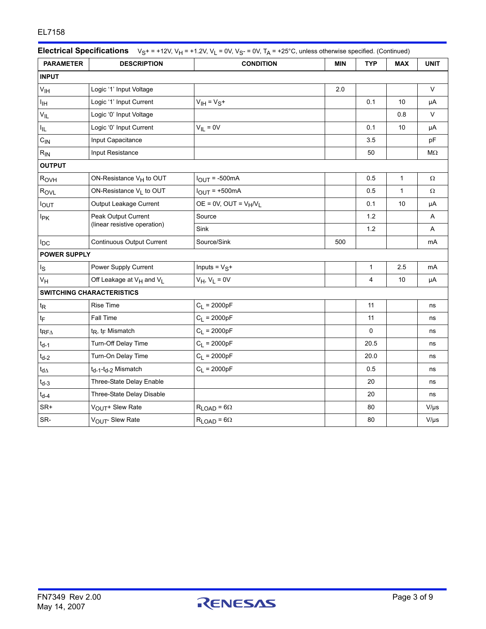| <b>PARAMETER</b>        | <b>DESCRIPTION</b><br><b>CONDITION</b><br><b>MIN</b> |                             | <b>TYP</b> | <b>MAX</b>     | <b>UNIT</b> |           |
|-------------------------|------------------------------------------------------|-----------------------------|------------|----------------|-------------|-----------|
| <b>INPUT</b>            |                                                      |                             |            |                |             |           |
| V <sub>IH</sub>         | Logic '1' Input Voltage                              |                             | 2.0        |                |             | $\vee$    |
| Ιщ                      | Logic '1' Input Current                              | $V_{IH} = V_S +$            |            | 0.1            | 10          | μA        |
| $V_{IL}$                | Logic '0' Input Voltage                              |                             |            |                | 0.8         | $\vee$    |
| ŀμ,                     | Logic '0' Input Current                              | $V_{IL} = 0V$               |            | 0.1            | 10          | μA        |
| $C_{IN}$                | Input Capacitance                                    |                             |            | 3.5            |             | pF        |
| $R_{IN}$                | Input Resistance                                     |                             |            | 50             |             | $M\Omega$ |
| <b>OUTPUT</b>           |                                                      |                             |            |                |             |           |
| R <sub>OVH</sub>        | ON-Resistance V <sub>H</sub> to OUT                  | $I_{OUT} = -500mA$          |            | 0.5            | 1           | Ω         |
| RovL                    | ON-Resistance VL to OUT                              | $I_{\text{OUT}}$ = +500mA   |            | 0.5            | 1           | Ω         |
| <b>IOUT</b>             | Output Leakage Current                               | $OE = 0V$ , $OUT = V_H/V_L$ |            | 0.1            | 10          | μA        |
| l <sub>PK</sub>         | Peak Output Current                                  | Source                      |            | 1.2            |             | Α         |
|                         | (linear resistive operation)                         | Sink                        |            | 1.2            |             | Α         |
| $I_{DC}$                | Continuous Output Current                            | Source/Sink                 | 500        |                |             | mA        |
| <b>POWER SUPPLY</b>     |                                                      |                             |            |                |             |           |
| ls                      | Power Supply Current                                 | Inputs = $VS$ +             |            | $\mathbf{1}$   | 2.5         | mA        |
| $V_H$                   | Off Leakage at V <sub>H</sub> and V <sub>L</sub>     | $V_H$ , $V_L = 0V$          |            | $\overline{4}$ | 10          | μA        |
|                         | <b>SWITCHING CHARACTERISTICS</b>                     |                             |            |                |             |           |
| $t_{\mathsf{R}}$        | <b>Rise Time</b>                                     | $C_L = 2000pF$              |            | 11             |             | ns        |
| tF                      | Fall Time                                            | $C_L = 2000pF$              |            | 11             |             | ns        |
| $t_{\mathsf{RF}\Delta}$ | $t_R$ , $t_F$ Mismatch                               | $C_1 = 2000pF$              |            | 0              |             | ns        |
| $t_{d-1}$               | Turn-Off Delay Time                                  | $C_L = 2000pF$              |            | 20.5           |             | ns        |
| $t_{d-2}$               | Turn-On Delay Time                                   | $C_L = 2000pF$              |            | 20.0           |             | ns        |
| $t_{d\Delta}$           | t <sub>d-1</sub> -t <sub>d-2</sub> Mismatch          | $C_L = 2000pF$              |            | 0.5            |             | ns        |
| $t_{d-3}$               | Three-State Delay Enable                             |                             |            | 20             |             | ns        |
| $t_{d-4}$               | Three-State Delay Disable                            |                             |            | 20             |             | ns        |
| SR+                     | VOUT <sup>+</sup> Slew Rate                          | $R_{LOAD} = 6\Omega$        |            | 80             |             | $V/\mu s$ |
| SR-                     | VOUT-Slew Rate                                       | $R_{LOAD} = 6\Omega$        |            | 80             |             | $V/\mu s$ |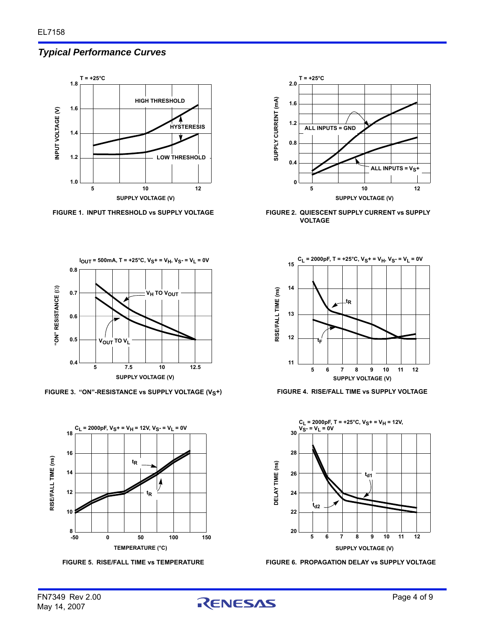# *Typical Performance Curves*





FIGURE 3. "ON"-RESISTANCE vs SUPPLY VOLTAGE (V<sub>S</sub>+) FIGURE 4. RISE/FALL TIME vs SUPPLY VOLTAGE









**T = +25°C**

**2.0**

FIGURE 1. INPUT THRESHOLD vs SUPPLY VOLTAGE FIGURE 2. QUIESCENT SUPPLY CURRENT vs SUPPLY **VOLTAGE**



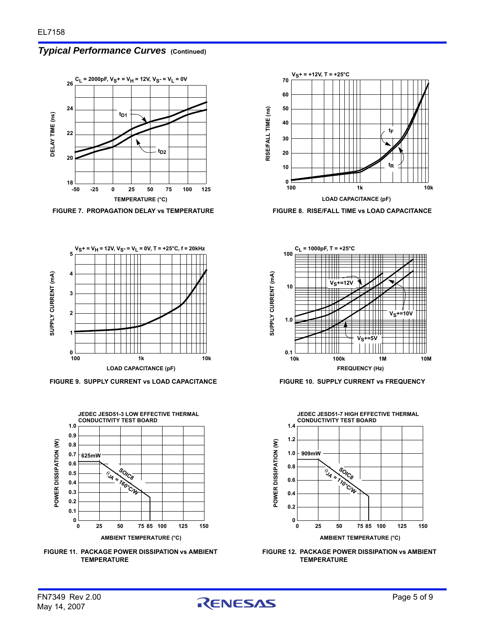# *Typical Performance Curves* **(Continued)**





**FIGURE 9. SUPPLY CURRENT vs LOAD CAPACITANCE FIGURE 10. SUPPLY CURRENT vs FREQUENCY**



**FIGURE 11. PACKAGE POWER DISSIPATION vs AMBIENT TEMPERATURE**



FIGURE 7. PROPAGATION DELAY vs TEMPERATURE **FIGURE 8. RISE/FALL TIME vs LOAD CAPACITANCE** 





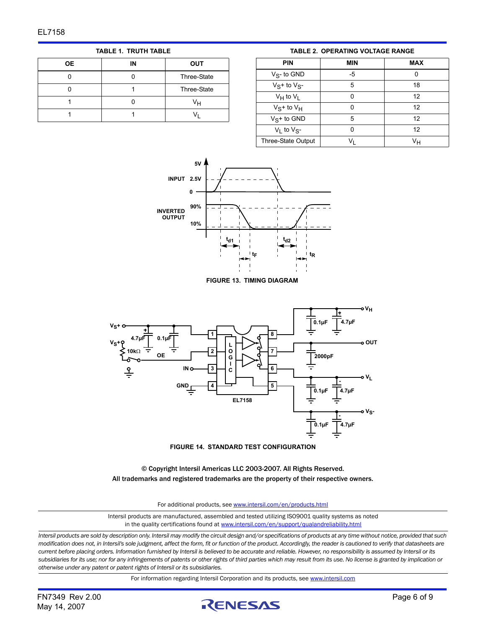**TABLE 1. TRUTH TABLE**

| 0E | IN | <b>OUT</b>  |
|----|----|-------------|
|    |    | Three-State |
|    |    | Three-State |
|    |    | Vн          |
|    |    |             |

**TABLE 2. OPERATING VOLTAGE RANGE**

<span id="page-5-0"></span>

| <b>PIN</b>           | MIN | <b>MAX</b> |
|----------------------|-----|------------|
| $V_S$ - to GND       | -5  | 0          |
| $V_S$ + to $V_{S^-}$ | 5   | 18         |
| $V_H$ to $V_I$       | ŋ   | 12         |
| $V_S$ + to $V_H$     | ŋ   | 12         |
| $V_S$ + to GND       | 5   | 12         |
| $V_1$ to $V_{S^-}$   | ŋ   | 12         |
| Three-State Output   |     | Vн         |



**FIGURE 13. TIMING DIAGRAM**



**FIGURE 14. STANDARD TEST CONFIGURATION**

© Copyright Intersil Americas LLC 2003-2007. All Rights Reserved. All trademarks and registered trademarks are the property of their respective owners.

For additional products, see [www.intersil.com/en/products.html](http://www.intersil.com/en/products.html?utm_source=Intersil&utm_medium=datasheet&utm_campaign=disclaimer-ds-footer)

[Intersil products are manufactured, assembled and tested utilizing ISO9001 quality systems as noted](http://www.intersil.com/en/products.html?utm_source=Intersil&utm_medium=datasheet&utm_campaign=disclaimer-ds-footer) in the quality certifications found at [www.intersil.com/en/support/qualandreliability.html](http://www.intersil.com/en/support/qualandreliability.html?utm_source=Intersil&utm_medium=datasheet&utm_campaign=disclaimer-ds-footer)

*Intersil products are sold by description only. Intersil may modify the circuit design and/or specifications of products at any time without notice, provided that such modification does not, in Intersil's sole judgment, affect the form, fit or function of the product. Accordingly, the reader is cautioned to verify that datasheets are current before placing orders. Information furnished by Intersil is believed to be accurate and reliable. However, no responsibility is assumed by Intersil or its subsidiaries for its use; nor for any infringements of patents or other rights of third parties which may result from its use. No license is granted by implication or otherwise under any patent or patent rights of Intersil or its subsidiaries.*

For information regarding Intersil Corporation and its products, see [www.intersil.com](http://www.intersil.com?utm_source=intersil&utm_medium=datasheet&utm_campaign=disclaimer-ds-footer)

May 14, 2007

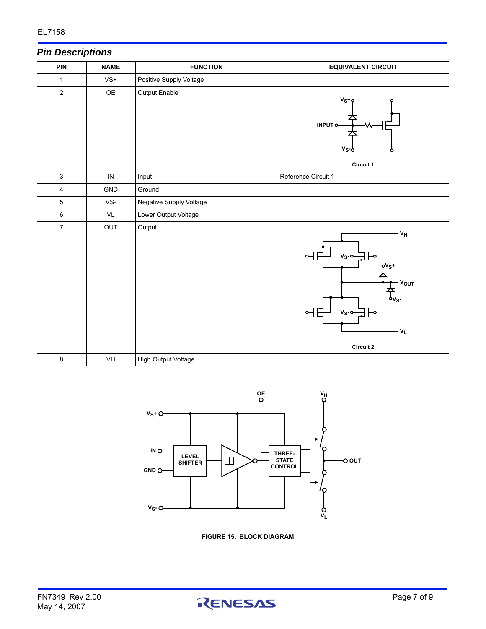# *Pin Descriptions*

| <b>PIN</b>       | <b>NAME</b> | <b>FUNCTION</b>         | <b>EQUIVALENT CIRCUIT</b>                                                                                                                                                   |
|------------------|-------------|-------------------------|-----------------------------------------------------------------------------------------------------------------------------------------------------------------------------|
| $\mathbf{1}$     | $VS+$       | Positive Supply Voltage |                                                                                                                                                                             |
| $\mathbf 2$      | OE          | Output Enable           | $V_S+Q$<br>INPUT <sub>O</sub><br>v <sub>s</sub> -d<br>Circuit 1                                                                                                             |
| $\mathfrak{S}$   | ${\sf IN}$  | Input                   | Reference Circuit 1                                                                                                                                                         |
| 4                | GND         | Ground                  |                                                                                                                                                                             |
| 5                | VS-         | Negative Supply Voltage |                                                                                                                                                                             |
| 6                | VL          | Lower Output Voltage    |                                                                                                                                                                             |
| $\boldsymbol{7}$ | OUT         | Output                  | - V <sub>H</sub><br>$V_S$ -o-<br>⊢∘<br>$oV_S+$<br>- V <sub>OUT</sub><br>$\mathsf{dv}_{\mathsf{S}}$ .<br>$V_S$ -0-<br>$\overline{\phantom{0}}$<br>$-V_L$<br><b>Circuit 2</b> |
| $\bf 8$          | VH          | High Output Voltage     |                                                                                                                                                                             |



**FIGURE 15. BLOCK DIAGRAM**

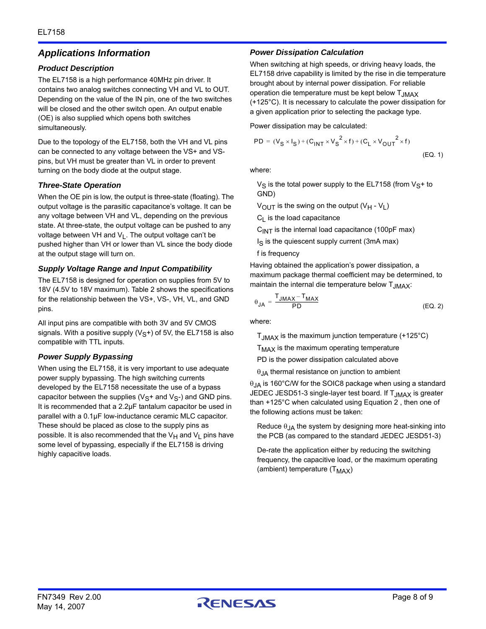# *Applications Information*

#### *Product Description*

The EL7158 is a high performance 40MHz pin driver. It contains two analog switches connecting VH and VL to OUT. Depending on the value of the IN pin, one of the two switches will be closed and the other switch open. An output enable (OE) is also supplied which opens both switches simultaneously.

Due to the topology of the EL7158, both the VH and VL pins can be connected to any voltage between the VS+ and VSpins, but VH must be greater than VL in order to prevent turning on the body diode at the output stage.

#### *Three-State Operation*

When the OE pin is low, the output is three-state (floating). The output voltage is the parasitic capacitance's voltage. It can be any voltage between VH and VL, depending on the previous state. At three-state, the output voltage can be pushed to any voltage between VH and  $V_L$ . The output voltage can't be pushed higher than VH or lower than VL since the body diode at the output stage will turn on.

#### *Supply Voltage Range and Input Compatibility*

The EL7158 is designed for operation on supplies from 5V to 18V (4.5V to 18V maximum). Table [2](#page-5-0) shows the specifications for the relationship between the VS+, VS-, VH, VL, and GND pins.

All input pins are compatible with both 3V and 5V CMOS signals. With a positive supply  $(V<sub>S</sub>+)$  of 5V, the EL7158 is also compatible with TTL inputs.

#### *Power Supply Bypassing*

When using the EL7158, it is very important to use adequate power supply bypassing. The high switching currents developed by the EL7158 necessitate the use of a bypass capacitor between the supplies ( $V_S$ + and  $V_S$ -) and GND pins. It is recommended that a 2.2µF tantalum capacitor be used in parallel with a 0.1µF low-inductance ceramic MLC capacitor. These should be placed as close to the supply pins as possible. It is also recommended that the  $V_H$  and  $V_L$  pins have some level of bypassing, especially if the EL7158 is driving highly capacitive loads.

#### *Power Dissipation Calculation*

When switching at high speeds, or driving heavy loads, the EL7158 drive capability is limited by the rise in die temperature brought about by internal power dissipation. For reliable operation die temperature must be kept below  $T_{JMAX}$ (+125°C). It is necessary to calculate the power dissipation for a given application prior to selecting the package type.

Power dissipation may be calculated:

$$
PD = (V_S \times I_S) + (C_{INT} \times V_S^2 \times f) + (C_L \times V_{OUT}^2 \times f)
$$
\n(EQ. 1)

where:

 $V_S$  is the total power supply to the EL7158 (from  $V_S$ + to GND)

 $V_{\text{OUT}}$  is the swing on the output ( $V_{\text{H}}$  -  $V_{\text{L}}$ )

 $C_L$  is the load capacitance

 $C<sub>INT</sub>$  is the internal load capacitance (100pF max)

 $I<sub>S</sub>$  is the quiescent supply current (3mA max)

f is frequency

Having obtained the application's power dissipation, a maximum package thermal coefficient may be determined, to maintain the internal die temperature below  $T_{JMAX}$ :

<span id="page-7-0"></span>
$$
\theta_{JA} = \frac{T_{JMAX} - T_{MAX}}{PD}
$$
 (EQ. 2)

where:

 $T_{JMAX}$  is the maximum junction temperature (+125 $^{\circ}$ C)

 $T<sub>MAX</sub>$  is the maximum operating temperature

PD is the power dissipation calculated above

 $\theta$ <sub>JA</sub> thermal resistance on junction to ambient

 $\theta_{JA}$  is 160°C/W for the SOIC8 package when using a standard JEDEC JESD51-3 single-layer test board. If T<sub>JMAX</sub> is greater than +125°C when calculated using Equation [2](#page-7-0) , then one of the following actions must be taken:

Reduce  $\theta_{JA}$  the system by designing more heat-sinking into the PCB (as compared to the standard JEDEC JESD51-3)

De-rate the application either by reducing the switching frequency, the capacitive load, or the maximum operating (ambient) temperature  $(T_{MAX})$